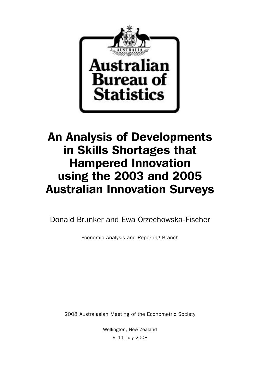

# An Analysis of Developments in Skills Shortages that Hampered Innovation using the 2003 and 2005 Australian Innovation Surveys

Donald Brunker and Ewa Orzechowska-Fischer

Economic Analysis and Reporting Branch

2008 Australasian Meeting of the Econometric Society

Wellington, New Zealand 9–11 July 2008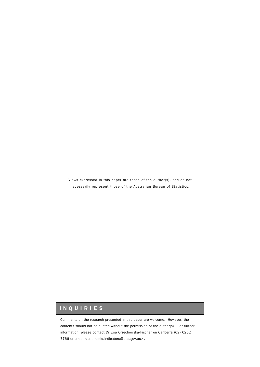Views expressed in this paper are those of the author(s), and do not necessarily represent those of the Australian Bureau of Statistics.

# INQUIRIES

Comments on the research presented in this paper are welcome. However, the contents should not be quoted without the permission of the author(s). For further information, please contact Dr Ewa Orzechowska-Fischer on Canberra (02) 6252 7766 or email <economic.indicators@abs.gov.au>.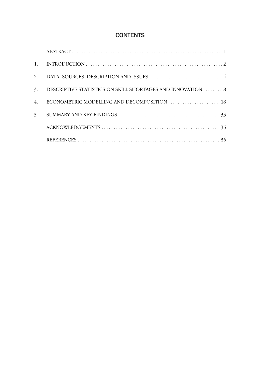# **CONTENTS**

| 1. |                                                            |
|----|------------------------------------------------------------|
| 2. |                                                            |
| 3. | DESCRIPTIVE STATISTICS ON SKILL SHORTAGES AND INNOVATION 8 |
| 4. |                                                            |
| 5. |                                                            |
|    |                                                            |
|    |                                                            |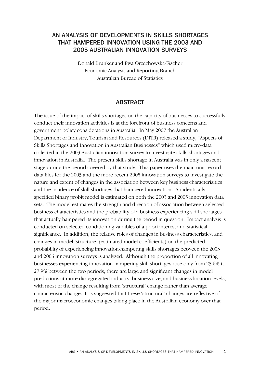# AN ANALYSIS OF DEVELOPMENTS IN SKILLS SHORTAGES THAT HAMPERED INNOVATION USING THE 2003 AND 2005 AUSTRALIAN INNOVATION SURVEYS

Donald Brunker and Ewa Orzechowska-Fischer Economic Analysis and Reporting Branch Australian Bureau of Statistics

## ABSTRACT

The issue of the impact of skills shortages on the capacity of businesses to successfully conduct their innovation activities is at the forefront of business concerns and government policy considerations in Australia. In May 2007 the Australian Department of Industry, Tourism and Resources (DITR) released a study, "Aspects of Skills Shortages and Innovation in Australian Businesses" which used micro-data collected in the 2003 Australian innovation survey to investigate skills shortages and innovation in Australia. The present skills shortage in Australia was in only a nascent stage during the period covered by that study. This paper uses the main unit record data files for the 2003 and the more recent 2005 innovation surveys to investigate the nature and extent of changes in the association between key business characterisitics and the incidence of skill shortages that hampered innovation. An identically specified binary probit model is estimated on both the 2003 and 2005 innovation data sets. The model estimates the strength and direction of association between selected business characteristics and the probability of a business experiencing skill shortages that actually hampered its innovation during the period in question. Impact analysis is conducted on selected conditioning variables of a priori interest and statistical significance. In addition, the relative roles of changes in business characteristics, and changes in model 'structure' (estimated model coefficients) on the predicted probability of experiencing innovation-hampering skills shortages between the 2003 and 2005 innovation surveys is analysed. Although the proportion of all innovating businesses experiencing innovation-hampering skill shortages rose only from 25.6% to 27.9% between the two periods, there are large and significant changes in model predictions at more disaggregated industry, business size, and business location levels, with most of the change resulting from 'structural' change rather than average characteristic change. It is suggested that these 'structural' changes are reflective of the major macroeconomic changes taking place in the Australian economy over that period.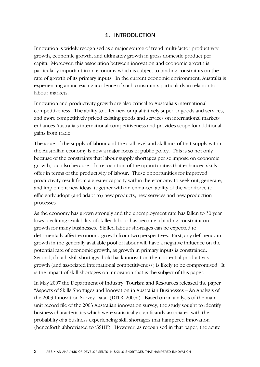# 1. INTRODUCTION

Innovation is widely recognised as a major source of trend multi-factor productivity growth, economic growth, and ultimately growth in gross domestic product per capita. Moreover, this association between innovation and economic growth is particularly important in an economy which is subject to binding constraints on the rate of growth of its primary inputs. In the current economic environment, Australia is experiencing an increasing incidence of such constraints particularly in relation to labour markets.

Innovation and productivity growth are also critical to Australia's international competitiveness. The ability to offer new or qualitatively superior goods and services, and more competitively priced existing goods and services on international markets enhances Australia's international competitiveness and provides scope for additional gains from trade.

The issue of the supply of labour and the skill level and skill mix of that supply within the Australian economy is now a major focus of public policy. This is so not only because of the constraints that labour supply shortages per se impose on economic growth, but also because of a recognition of the opportunities that enhanced skills offer in terms of the productivity of labour. These opportunities for improved productivity result from a greater capacity within the economy to seek out, generate, and implement new ideas, together with an enhanced ability of the workforce to efficiently adopt (and adapt to) new products, new services and new production processes.

As the economy has grown strongly and the unemployment rate has fallen to 30 year lows, declining availability of skilled labour has become a binding constraint on growth for many businesses. Skilled labour shortages can be expected to detrimentally affect economic growth from two perspectives. First, any deficiency in growth in the generally available pool of labour will have a negative influence on the potential rate of economic growth, as growth in primary inputs is constrained. Second, if such skill shortages hold back innovation then potential productivity growth (and associated international competitiveness) is likely to be compromised. It is the impact of skill shortages on innovation that is the subject of this paper.

In May 2007 the Department of Industry, Tourism and Resources released the paper "Aspects of Skills Shortages and Innovation in Australian Businesses – An Analysis of the 2003 Innovation Survey Data" (DITR, 2007a). Based on an analysis of the main unit record file of the 2003 Australian innovation survey, the study sought to identify business characteristics which were statistically significantly associated with the probability of a business experiencing skill shortages that hampered innovation (henceforth abbreviated to 'SSHI'). However, as recognised in that paper, the acute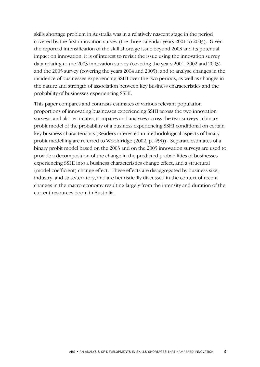skills shortage problem in Australia was in a relatively nascent stage in the period covered by the first innovation survey (the three calendar years 2001 to 2003). Given the reported intensification of the skill shortage issue beyond 2003 and its potential impact on innovation, it is of interest to revisit the issue using the innovation survey data relating to the 2003 innovation survey (covering the years 2001, 2002 and 2003) and the 2005 survey (covering the years 2004 and 2005), and to analyse changes in the incidence of businesses experiencing SSHI over the two periods, as well as changes in the nature and strength of association between key business characteristics and the probability of businesses experiencing SSHI.

This paper compares and contrasts estimates of various relevant population proportions of innovating businesses experiencing SSHI across the two innovation surveys, and also estimates, compares and analyses across the two surveys, a binary probit model of the probability of a business experiencing SSHI conditional on certain key business characteristics (Readers interested in methodological aspects of binary probit modelling are referred to Wooldridge (2002, p. 453)). Separate estimates of a binary probit model based on the 2003 and on the 2005 innovation surveys are used to provide a decomposition of the change in the predicted probabilities of businesses experiencing SSHI into a business characteristics change effect, and a structural (model coefficient) change effect. These effects are disaggregated by business size, industry, and state/territory, and are heuristically discussed in the context of recent changes in the macro economy resulting largely from the intensity and duration of the current resources boom in Australia.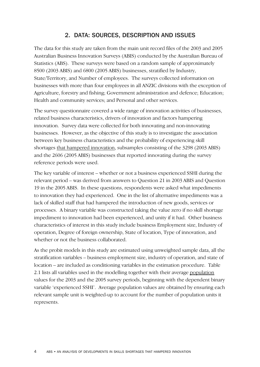# 2. DATA: SOURCES, DESCRIPTION AND ISSUES

The data for this study are taken from the main unit record files of the 2003 and 2005 Australian Business Innovation Surveys (ABIS) conducted by the Australian Bureau of Statistics (ABS). These surveys were based on a random sample of approximately 8500 (2003 ABIS) and 6800 (2005 ABIS) businesses, stratified by Industry, State/Territory, and Number of employees. The surveys collected information on businesses with more than four employees in all ANZIC divisions with the exception of Agriculture, forestry and fishing; Government administration and defence; Education; Health and community services; and Personal and other services.

The survey questionnaire covered a wide range of innovation activities of businesses, related business characteristics, drivers of innovation and factors hampering innovation. Survey data were collected for both innovating and non-innovating businesses. However, as the objective of this study is to investigate the association between key business characteristics and the probability of experiencing skill shortages that hampered innovation, subsamples consisting of the 3298 (2003 ABIS) and the 2606 (2005 ABIS) businesses that reported innovating during the survey reference periods were used.

The key variable of interest – whether or not a business experienced SSHI during the relevant period – was derived from answers to Question 21 in 2003 ABIS and Question 19 in the 2005 ABIS. In these questions, respondents were asked what impediments to innovation they had experienced. One in the list of alternative impediments was a lack of skilled staff that had hampered the introduction of new goods, services or processes. A binary variable was constructed taking the value zero if no skill shortage impediment to innovation had been experienced, and unity if it had. Other business characteristics of interest in this study include business Employment size, Industry of operation, Degree of foreign ownership, State of location, Type of innovation, and whether or not the business collaborated.

As the probit models in this study are estimated using unweighted sample data, all the stratification variables – business employment size, industry of operation, and state of location – are included as conditioning variables in the estimation procedure. Table 2.1 lists all variables used in the modelling together with their average population values for the 2003 and the 2005 survey periods, beginning with the dependent binary variable 'experienced SSHI'. Average population values are obtained by ensuring each relevant sample unit is weighted-up to account for the number of population units it represents.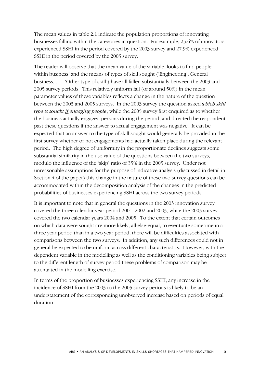The mean values in table 2.1 indicate the population proportions of innovating businesses falling within the categories in question. For example, 25.6% of innovators experienced SSHI in the period covered by the 2003 survey and 27.9% experienced SSHI in the period covered by the 2005 survey.

The reader will observe that the mean value of the variable 'looks to find people within business' and the means of types of skill sought ('Engineering', General business, … , 'Other type of skill') have all fallen substantially between the 2003 and 2005 survey periods. This relatively uniform fall (of around 50%) in the mean parameter values of these variables reflects a change in the nature of the question between the 2003 and 2005 surveys. In the 2003 survey the question asked *which skill type is sought if engaging people*, while the 2005 survey first enquired as to whether the business actually engaged persons during the period, and directed the respondent past these questions if the answer to actual engagement was negative. It can be expected that an answer to the type of skill sought would generally be provided in the first survey whether or not engagements had actually taken place during the relevant period. The high degree of uniformity in the proportionate declines suggests some substantial similarity in the use-value of the questions between the two surveys, modulo the influence of the 'skip' ratio of 35% in the 2005 survey. Under not unreasonable assumptions for the purpose of indicative analysis (discussed in detail in Section 4 of the paper) this change in the nature of these two survey questions can be accommodated within the decomposition analysis of the changes in the predicted probabilities of businesses experiencing SSHI across the two survey periods.

It is important to note that in general the questions in the 2003 innovation survey covered the three calendar year period 2001, 2002 and 2003, while the 2005 survey covered the two calendar years 2004 and 2005. To the extent that certain outcomes on which data were sought are more likely, all-else-equal, to eventuate sometime in a three year period than in a two year period, there will be difficulties associated with comparisons between the two surveys. In addition, any such differences could not in general be expected to be uniform across different characteristics. However, with the dependent variable in the modelling as well as the conditioning variables being subject to the different length of survey period these problems of comparison may be attenuated in the modelling exercise.

In terms of the proportion of businesses experiencing SSHI, any increase in the incidence of SSHI from the 2003 to the 2005 survey periods is likely to be an understatement of the corresponding unobserved increase based on periods of equal duration.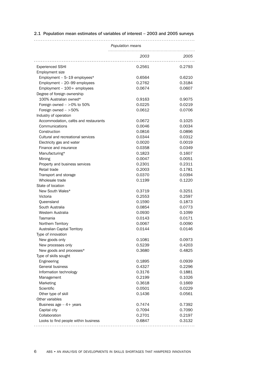|                                      | Population means |           |
|--------------------------------------|------------------|-----------|
|                                      |                  |           |
|                                      | 2003             | 2005<br>. |
|                                      |                  |           |
| <b>Experienced SSHI</b>              | 0.2561           | 0.2793    |
| Employment size                      |                  |           |
| Employment - 5-19 employees*         | 0.6564           | 0.6210    |
| Employment - 20-99 employees         | 0.2762           | 0.3184    |
| Employment $-100+$ employees         | 0.0674           | 0.0607    |
| Degree of foreign ownership          |                  |           |
| 100% Australian owned*               | 0.9163           | 0.9075    |
| Foreign owned $-$ >0% to 50%         | 0.0225           | 0.0219    |
| Foreign owned $-$ >50%               | 0.0612           | 0.0706    |
| Industry of operation                |                  |           |
| Accommodation, cafés and restaurants | 0.0672           | 0.1025    |
| Communications                       | 0.0046           | 0.0034    |
| Construction                         | 0.0816           | 0.0896    |
| Cultural and recreational services   | 0.0344           | 0.0312    |
| Electricity gas and water            | 0.0020           | 0.0019    |
| Finance and insurance                | 0.0358           | 0.0349    |
| Manufacturing*                       | 0.1823           | 0.1607    |
| Mining                               | 0.0047           | 0.0051    |
| Property and business services       | 0.2301           | 0.2311    |
| Retail trade                         | 0.2003           | 0.1781    |
| Transport and storage                | 0.0370           | 0.0394    |
| Wholesale trade                      | 0.1199           | 0.1220    |
| State of location                    |                  |           |
| New South Wales*                     | 0.3719           | 0.3251    |
| Victoria                             | 0.2553           | 0.2597    |
| Queensland                           | 0.1590           | 0.1873    |
| South Australia                      | 0.0854           | 0.0773    |
| Western Australia                    | 0.0930           | 0.1099    |
| Tasmania                             | 0.0143           | 0.0171    |
| Northern Territory                   | 0.0067           | 0.0090    |
| Australian Capital Territory         | 0.0144           | 0.0146    |
| Type of innovation                   |                  |           |
| New goods only                       | 0.1081           | 0.0973    |
| New processes only                   | 0.5239           | 0.4203    |
| New goods and processes*             | 0.3680           | 0.4825    |
| Type of skills sought                |                  |           |
| Engineering                          | 0.1895           | 0.0939    |
| General business                     | 0.4327           | 0.2296    |
| Information technology               | 0.3176           | 0.1881    |
|                                      | 0.2199           |           |
| Management                           |                  | 0.1026    |
| Marketing                            | 0.3618           | 0.1669    |
| Scientific                           | 0.0501           | 0.0229    |
| Other type of skill                  | 0.1436           | 0.0561    |
| Other variables                      |                  |           |
| Business age $-4+$ years             | 0.7474           | 0.7392    |
| Capital city                         | 0.7094           | 0.7090    |
| Collaboration                        | 0.2701           | 0.2197    |
| Looks to find people within business | 0.6847           | 0.3132    |
|                                      |                  |           |

## 2.1 Population mean estimates of variables of interest – 2003 and 2005 surveys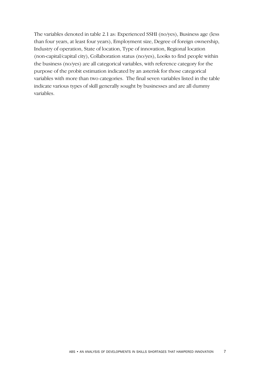The variables denoted in table 2.1 as: Experienced SSHI (no/yes), Business age (less than four years, at least four years), Employment size, Degree of foreign ownership, Industry of operation, State of location, Type of innovation, Regional location (non-capital/capital city), Collaboration status (no/yes), Looks to find people within the business (no/yes) are all categorical variables, with reference category for the purpose of the probit estimation indicated by an asterisk for those categorical variables with more than two categories. The final seven variables listed in the table indicate various types of skill generally sought by businesses and are all dummy variables.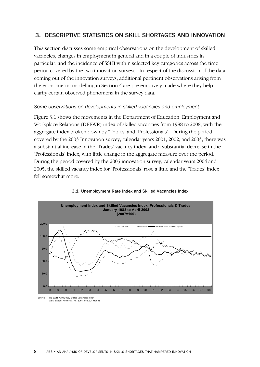# 3. DESCRIPTIVE STATISTICS ON SKILL SHORTAGES AND INNOVATION

This section discusses some empirical observations on the development of skilled vacancies, changes in employment in general and in a couple of industries in particular, and the incidence of SSHI within selected key categories across the time period covered by the two innovation surveys. In respect of the discussion of the data coming out of the innovation surveys, additional pertinent observations arising from the econometric modelling in Section 4 are pre-emptively made where they help clarify certain observed phenomena in the survey data.

## *Some observations on developments in skilled vacancies and employment*

Figure 3.1 shows the movements in the Department of Education, Employment and Workplace Relations (DEEWR) index of skilled vacancies from 1988 to 2008, with the aggregate index broken down by 'Trades' and 'Professionals'. During the period covered by the 2003 Innovation survey, calendar years 2001, 2002, and 2003, there was a substantial increase in the 'Trades' vacancy index, and a substantial decrease in the 'Professionals' index, with little change in the aggregate measure over the period. During the period covered by the 2005 innovation survey, calendar years 2004 and 2005, the skilled vacancy index for 'Professionals' rose a little and the 'Trades' index fell somewhat more.



#### 3.1 Unemployment Rate Index and Skilled Vacancies Index

ABS, Labour Force cat. No. 6291.0.55.001 Mar 08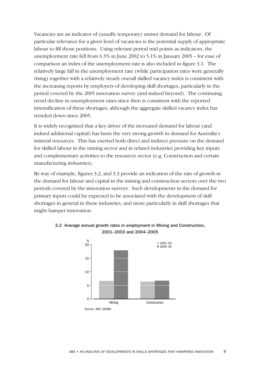Vacancies are an indicator of (usually temporary) unmet demand for labour. Of particular relevance for a given level of vacancies is the potential supply of appropriate labour to fill those positions. Using relevant period mid points as indicators, the unemployment rate fell from 6.3% in June 2002 to 5.1% in January 2005 – for ease of comparison an index of the unemployment rate is also included in figure 3.1. The relatively large fall in the unemployment rate (while participation rates were generally rising) together with a relatively steady overall skilled vacancy index is consistent with the increasing reports by employers of developing skill shortages, particularly in the period covered by the 2005 innovation survey (and indeed beyond). The continuing trend decline in unemployment rates since then is consistent with the reported intensification of these shortages, although the aggregate skilled vacancy index has trended down since 2005.

It is widely recognised that a key driver of the increased demand for labour (and indeed additional capital) has been the very strong growth in demand for Australia's mineral resources. This has exerted both direct and indirect pressure on the demand for skilled labour in the mining sector and in related industries providing key inputs and complementary activities to the resources sector (e.g. Construction and certain manufacturing industries).

By way of example, figures 3.2, and 3.3 provide an indication of the rate of growth in the demand for labour and capital in the mining and construction sectors over the two periods covered by the innovation surveys. Such developments in the demand for primary inputs could be expected to be associated with the development of skill shortages in general in these industries, and more particularly in skill shortages that might hamper innovation.



## 3.2 Average annual growth rates in employment in Mining and Construction, 2001–2003 and 2004–2005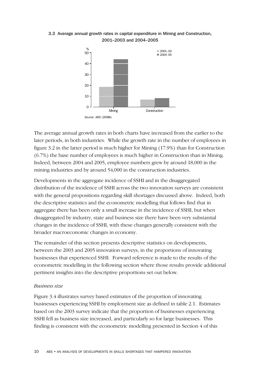## 3.3 Average annual growth rates in capital expenditure in Mining and Construction, 2001–2003 and 2004–2005



The average annual growth rates in both charts have increased from the earlier to the later periods, in both industries. While the growth rate in the number of employees in figure 3.2 in the latter period is much higher for Mining (17.9%) than for Construction (6.7%) the base number of employees is much higher in Construction than in Mining. Indeed, between 2004 and 2005, employee numbers grew by around 18,000 in the mining industries and by around 54,000 in the construction industries.

Developments in the aggregate incidence of SSHI and in the disaggregated distribution of the incidence of SSHI across the two innovation surveys are consistent with the general propositions regarding skill shortages discussed above. Indeed, both the descriptive statistics and the econometric modelling that follows find that in aggregate there has been only a small increase in the incidence of SSHI, but when disaggregated by industry, state and business size there have been very substantial changes in the incidence of SSHI, with these changes generally consistent with the broader macroeconomic changes in economy.

The remainder of this section presents descriptive statistics on developments, between the 2003 and 2005 innovation surveys, in the proportions of innovating businesses that experienced SSHI. Forward reference is made to the results of the econometric modelling in the following section where those results provide additional pertinent insights into the descriptive proportions set out below.

## *Business size*

Figure 3.4 illustrates survey based estimates of the proportion of innovating businesses experiencing SSHI by employment size as defined in table 2.1. Estimates based on the 2003 survey indicate that the proportion of businesses experiencing SSHI fell as business size increased, and particularly so for large businesses. This finding is consistent with the econometric modelling presented in Section 4 of this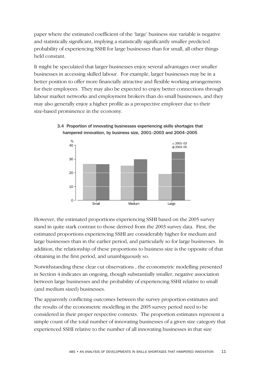paper where the estimated coefficient of the 'large' business size variable is negative and statistically significant, implying a statistically significantly smaller predicted probability of experiencing SSHI for large businesses than for small, all other things held constant.

It might be speculated that larger businesses enjoy several advantages over smaller businesses in accessing skilled labour. For example, larger businesses may be in a better position to offer more financially attractive and flexible working arrangements for their employees. They may also be expected to enjoy better connections through labour market networks and employment brokers than do small businesses, and they may also generally enjoy a higher profile as a prospective employer due to their size-based prominence in the economy.





However, the estimated proportions experiencing SSHI based on the 2005 survey stand in quite stark contrast to those derived from the 2003 survey data. First, the estimated proportions experiencing SSHI are considerably higher for medium and large businesses than in the earlier period, and particularly so for large businesses. In addition, the relationship of these proportions to business size is the opposite of that obtaining in the first period, and unambiguously so.

Notwithstanding these clear cut observations , the econometric modelling presented in Section 4 indicates an ongoing, though substantially smaller, negative association between large businesses and the probability of experiencing SSHI relative to small (and medium sized) businesses.

The apparently conflicting outcomes between the survey proportion estimates and the results of the econometric modelling in the 2005 survey period need to be considered in their proper respective contexts. The proportion estimates represent a simple count of the total number of innovating businesses of a given size category that experienced SSHI relative to the number of all innovating businesses in that size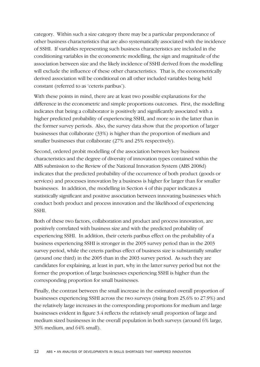category. Within such a size category there may be a particular preponderance of other business characteristics that are also systematically associated with the incidence of SSHI. If variables representing such business characteristics are included in the conditioning variables in the econometric modelling, the sign and magnitude of the association between size and the likely incidence of SSHI derived from the modelling will exclude the influence of these other characteristics. That is, the econometrically derived association will be conditional on all other included variables being held constant (referred to as 'ceteris paribus').

With these points in mind, there are at least two possible explanations for the difference in the econometric and simple proportions outcomes. First, the modelling indicates that being a collaborator is positively and significantly associated with a higher predicted probability of experiencing SSHI, and more so in the latter than in the former survey periods. Also, the survey data show that the proportion of larger businesses that collaborate (33%) is higher than the proportion of medium and smaller businesses that collaborate (27% and 25% respectively).

Second, ordered probit modelling of the association between key business characteristics and the degree of diversity of innovation types contained within the ABS submission to the Review of the National Innovation System (ABS 2008d) indicates that the predicted probability of the occurrence of both product (goods or services) and processes innovation by a business is higher for larger than for smaller businesses. In addition, the modelling in Section 4 of this paper indicates a statistically significant and positive association between innovating businesses which conduct both product and process innovation and the likelihood of experiencing SSHI.

Both of these two factors, collaboration and product and process innovation, are positively correlated with business size and with the predicted probability of experiencing SSHI. In addition, their ceteris paribus effect on the probability of a business experiencing SSHI is stronger in the 2005 survey period than in the 2003 survey period, while the ceteris paribus effect of business size is substantially smaller (around one third) in the 2005 than in the 2003 survey period. As such they are candidates for explaining, at least in part, why in the latter survey period but not the former the proportion of large businesses experiencing SSHI is higher than the corresponding proportion for small businesses.

Finally, the contrast between the small increase in the estimated overall proportion of businesses experiencing SSHI across the two surveys (rising from 25.6% to 27.9%) and the relatively large increases in the corresponding proportions for medium and large businesses evident in figure 3.4 reflects the relatively small proportion of large and medium sized businesses in the overall population in both surveys (around 6% large, 30% medium, and 64% small).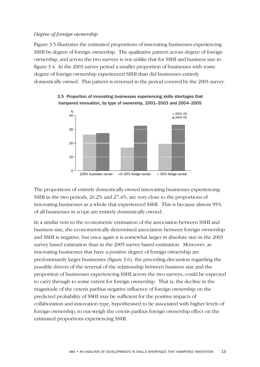## *Degree of foreign ownership*

Figure 3.5 illustrates the estimated proportions of innovating businesses experiencing SSHI by degree of foreign ownership. The qualitative pattern across degree of foreign ownership, and across the two surveys is not unlike that for SSHI and business size in figure 3.4. In the 2003 survey period a smaller proportion of businesses with some degree of foreign ownership experienced SSHI than did businesses entirely domestically owned. This pattern is reversed in the period covered by the 2005 survey.



3.5 Proportion of innovating businesses experiencing skills shortages that hampered innovation, by type of ownership, 2001–2003 and 2004–2005

The proportions of entirely domestically owned innovating businesses experiencing SSHI in the two periods, 26.2% and 27.4%, are very close to the proportions of innovating businesses as a whole that experienced SSHI. This is because almost 95% of all businesses in scope are entirely domestically owned.

In a similar vein to the econometric estimation of the association between SSHI and business size, the econometrically determined association between foreign ownership and SSHI is negative, but once again it is somewhat larger in absolute size in the 2003 survey based estimation than in the 2005 survey based estimation. Moreover, as innovating businesses that have a positive degree of foreign ownership are predominantly larger businesses (figure 3.6), the preceding discussion regarding the possible drivers of the reversal of the relationship between business size and the proportion of businesses experiencing SSHI across the two surveys, could be expected to carry through to some extent for foreign ownership. That is, the decline in the magnitude of the ceteris paribus negative influence of foreign ownership on the predicted probability of SSHI may be sufficient for the positive impacts of collaboration and innovation type, hypothesised to be associated with higher levels of foreign ownership, to out-weigh the ceteris paribus foreign ownership effect on the estimated proportions experiencing SSHI.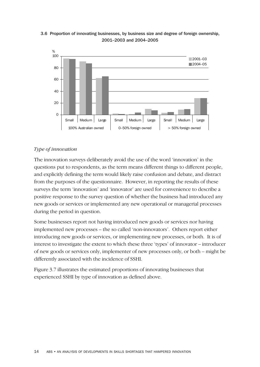



## *Type of innovation*

The innovation surveys deliberately avoid the use of the word 'innovation' in the questions put to respondents, as the term means different things to different people, and explicitly defining the term would likely raise confusion and debate, and distract from the purposes of the questionnaire. However, in reporting the results of these surveys the term 'innovation' and 'innovator' are used for convenience to describe a positive response to the survey question of whether the business had introduced any new goods or services or implemented any new operational or managerial processes during the period in question.

Some businesses report not having introduced new goods or services nor having implemented new processes – the so called 'non-innovators'. Others report either introducing new goods or services, or implementing new processes, or both. It is of interest to investigate the extent to which these three 'types' of innovator – introducer of new goods or services only, implementer of new processes only, or both – might be differently associated with the incidence of SSHI.

Figure 3.7 illustrates the estimated proportions of innovating businesses that experienced SSHI by type of innovation as defined above.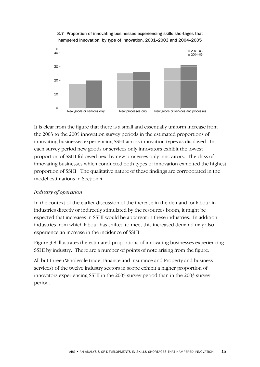

## 3.7 Proportion of innovating businesses experiencing skills shortages that hampered innovation, by type of innovation, 2001–2003 and 2004–2005

It is clear from the figure that there is a small and essentially uniform increase from the 2003 to the 2005 innovation survey periods in the estimated proportions of innovating businesses experiencing SSHI across innovation types as displayed. In each survey period new goods or services only innovators exhibit the lowest proportion of SSHI followed next by new processes only innovators. The class of innovating businesses which conducted both types of innovation exhibited the highest proportion of SSHI. The qualitative nature of these findings are corroborated in the model estimations in Section 4.

## *Industry of operation*

In the context of the earlier discussion of the increase in the demand for labour in industries directly or indirectly stimulated by the resources boom, it might be expected that increases in SSHI would be apparent in these industries. In addition, industries from which labour has shifted to meet this increased demand may also experience an increase in the incidence of SSHI.

Figure 3.8 illustrates the estimated proportions of innovating businesses experiencing SSHI by industry. There are a number of points of note arising from the figure.

All but three (Wholesale trade, Finance and insurance and Property and business services) of the twelve industry sectors in scope exhibit a higher proportion of innovators experiencing SSHI in the 2005 survey period than in the 2003 survey period.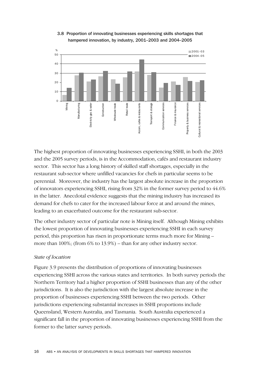

## 3.8 Proportion of innovating businesses experiencing skills shortages that hampered innovation, by industry, 2001–2003 and 2004–2005

The highest proportion of innovating businesses experiencing SSHI, in both the 2003 and the 2005 survey periods, is in the Accommodation, cafés and restaurant industry sector. This sector has a long history of skilled staff shortages, especially in the restaurant sub-sector where unfilled vacancies for chefs in particular seems to be perennial. Moreover, the industry has the largest absolute increase in the proportion of innovators experiencing SSHI, rising from 32% in the former survey period to 44.6% in the latter. Anecdotal evidence suggests that the mining industry has increased its demand for chefs to cater for the increased labour force at and around the mines, leading to an exacerbated outcome for the restaurant sub-sector.

The other industry sector of particular note is Mining itself. Although Mining exhibits the lowest proportion of innovating businesses experiencing SSHI in each survey period, this proportion has risen in proportionate terms much more for Mining – more than 100%; (from 6% to 13.9%) – than for any other industry sector.

## *State of location*

Figure 3.9 presents the distribution of proportions of innovating businesses experiencing SSHI across the various states and territories. In both survey periods the Northern Territory had a higher proportion of SSHI businesses than any of the other jurisdictions. It is also the jurisdiction with the largest absolute increase in the proportion of businesses experiencing SSHI between the two periods. Other jurisdictions experiencing substantial increases in SSHI proportions include Queensland, Western Australia, and Tasmania. South Australia experienced a significant fall in the proportion of innovating businesses experiencing SSHI from the former to the latter survey periods.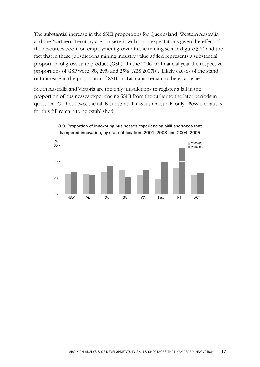The substantial increase in the SSHI proportions for Queensland, Western Australia and the Northern Territory are consistent with prior expectations given the effect of the resources boom on employment growth in the mining sector (figure 3.2) and the fact that in these jurisdictions mining industry value added represents a substantial proportion of gross state product (GSP). In the 2006–07 financial year the respective proportions of GSP were 8%, 29% and 25% (ABS 2007b). Likely causes of the stand out increase in the proportion of SSHI in Tasmania remain to be established.

South Australia and Victoria are the only jurisdictions to register a fall in the proportion of businesses experiencing SSHI from the earlier to the later periods in question. Of these two, the fall is substantial in South Australia only. Possible causes for this fall remain to be established.



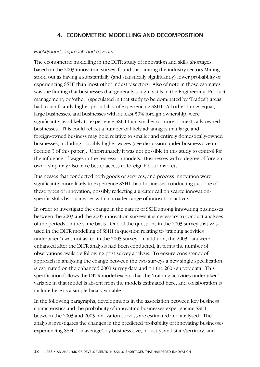# 4. ECONOMETRIC MODELLING AND DECOMPOSITION

## *Background, approach and caveats*

The econometric modelling in the DITR study of innovation and skills shortages, based on the 2003 innovation survey, found that among the industry sectors Mining stood out as having a substantially (and statistically significantly) lower probability of experiencing SSHI than most other industry sectors. Also of note in those estimates was the finding that businesses that generally sought skills in the Engineering, Product management, or 'other' (speculated in that study to be dominated by 'Trades') areas had a significantly higher probability of experiencing SSHI. All other things equal, large businesses, and businesses with at least 50% foreign ownership, were significantly less likely to experience SSHI than smaller or more domestically-owned businesses. This could reflect a number of likely advantages that large and foreign-owned business may hold relative to smaller and entirely domestically-owned businesses, including possibly higher wages (see discussion under business size in Section 3 of this paper). Unfortunately it was not possible in this study to control for the influence of wages in the regression models. Businesses with a degree of foreign ownership may also have better access to foreign labour markets.

Businesses that conducted both goods or services, and process innovation were significantly more likely to experience SSHI than businesses conducting just one of these types of innovation, possibly reflecting a greater call on scarce innovationspecific skills by businesses with a broader range of innovation activity.

In order to investigate the change in the nature of SSHI among innovating businesses between the 2003 and the 2005 innovation surveys it is necessary to conduct analyses of the periods on the same basis. One of the questions in the 2003 survey that was used in the DITR modelling of SSHI (a question relating to 'training activities undertaken') was not asked in the 2005 survey. In addition, the 2003 data were enhanced after the DITR analysis had been conducted, in terms the number of observations available following post survey analysis. To ensure consistency of approach in analysing the change between the two surveys a new single specification is estimated on the enhanced 2003 survey data and on the 2005 survey data. This specification follows the DITR model except that the 'training activities undertaken' variable in that model is absent from the models estimated here, and collaboration is include here as a simple binary variable.

In the following paragraphs, developments in the association between key business characteristics and the probability of innovating businesses experiencing SSHI between the 2003 and 2005 innovation surveys are estimated and analysed. The analysis investigates the changes in the predicted probability of innovating businesses experiencing SSHI 'on average', by business size, industry, and state/territory, and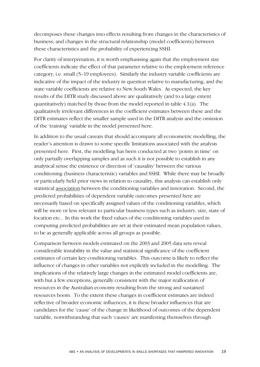decomposes these changes into effects resulting from changes in the characteristics of business, and changes in the structural relationship (model coefficients) between these characteristics and the probability of experiencing SSHI.

For clarity of interpretation, it is worth emphasising again that the employment size coefficients indicate the effect of that parameter relative to the employment reference category, i.e. small (5–19 employees). Similarly the industry variable coefficients are indicative of the impact of the industry in question relative to manufacturing, and the state variable coefficients are relative to New South Wales. As expected, the key results of the DITR study discussed above are qualitatively (and to a large extent quantitatively) matched by those from the model reported in table 4.1(a). The qualitatively irrelevant differences in the coefficient estimates between these and the DITR estimates reflect the smaller sample used in the DITR analysis and the omission of the 'training' variable in the model presented here.

In addition to the usual caveats that should accompany all econometric modelling, the reader's attention is drawn to some specific limitations associated with the analysis presented here. First, the modelling has been conducted at two 'points in time' on only partially overlapping samples and as such it is not possible to establish in any analytical sense the existence or direction of 'causality' between the various conditioning (business characteristic) variables and SSHI. While there may be broadly or particularly held prior views in relation to causality, this analysis can establish only statistical association between the conditioning variables and innovation. Second, the predicted probabilities of dependent variable outcomes presented here are necessarily based on specifically assigned values of the conditioning variables, which will be more or less relevant to particular business types such as industry, size, state of location etc.. In this work the fixed values of the conditioning variables used in computing predicted probabilities are set at their estimated mean population values, to be as generally applicable across all groups as possible.

Comparison between models estimated on the 2003 and 2005 data sets reveal considerable instability in the value and statistical significance of the coefficient estimates of certain key conditioning variables. This outcome is likely to reflect the influence of changes in other variables not explicitly included in the modelling. The implications of the relatively large changes in the estimated model coefficients are, with but a few exceptions, generally consistent with the major reallocation of resources in the Australian economy resulting from the strong and sustained resources boom. To the extent these changes in coefficient estimates are indeed reflective of broader economic influences, it is these broader influences that are candidates for the 'cause' of the change in likelihood of outcomes of the dependent variable, notwithstanding that such 'causes' are manifesting themselves through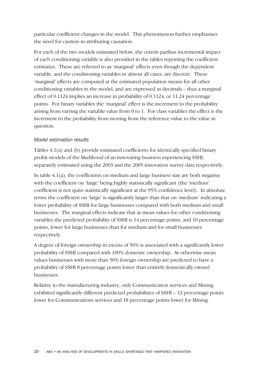particular coefficient changes in the model. This phenomenon further emphasises the need for caution in attributing causation.

For each of the two models estimated below, the ceteris paribus incremental impact of each conditioning variable is also provided in the tables reporting the coefficient estimates. These are referred to as 'marginal' effects even though the dependent variable, and the conditioning variables in almost all cases, are discrete. These 'marginal' effects are computed at the estimated population means for all other conditioning variables in the model, and are expressed as decimals – thus a marginal effect of 0.1124 implies an increase in probability of 0.1124, or 11.24 percentage points. For binary variables the 'marginal' effect is the increment to the probability arising from varying the variable value from 0 to 1. For class variables the effect is the increment to the probability from moving from the reference value to the value in question.

## *Model estimation results*

Tables 4.1(a) and (b) provide estimated coefficients for identically specified binary probit models of the likelihood of an innovating business experiencing SSHI, separately estimated using the 2003 and the 2005 innovation survey data respectively.

In table  $4.1(a)$ , the coefficients on medium and large business size are both negative with the coefficient on 'large' being highly statistically significant (the 'medium' coefficient is not quite statistically significant at the 95% confidence level). In absolute terms the coefficient on 'large' is significantly larger than that on 'medium' indicating a lower probability of SSHI for large businesses compared with both medium and small businesses. The marginal effects indicate that at mean values for other conditioning variables the predicted probability of SSHI is 14 percentage points, and 10 percentage points, lower for large businesses than for medium and for small businesses respectively.

A degree of foreign ownership in excess of 50% is associated with a significantly lower probability of SSHI compared with 100% domestic ownership. At otherwise mean values businesses with more than 50% foreign ownership are predicted to have a probability of SSHI 8 percentage points lower than entirely domestically owned businesses.

Relative to the manufacturing industry, only Communication services and Mining exhibited significantly different predicted probabilities of SSHI – 13 percentage points lower for Communications services and 18 percentage points lower for Mining.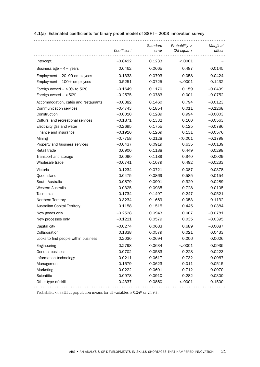|                                      | Coefficient | Standard<br>error | Probability $>$<br>Chi-square | Marginal<br>effect |
|--------------------------------------|-------------|-------------------|-------------------------------|--------------------|
| Intercept                            | $-0.8412$   | 0.1233            | < .0001                       |                    |
|                                      |             |                   |                               |                    |
| Business age $-4+$ years             | 0.0462      | 0.0665            | 0.487                         | 0.0145             |
| Employment - 20-99 employees         | $-0.1333$   | 0.0703            | 0.058                         | $-0.0424$          |
| Employment $-100+$ employees         | $-0.5251$   | 0.0725            | < .0001                       | $-0.1432$          |
| Foreign owned $-$ >0% to 50%         | $-0.1649$   | 0.1170            | 0.159                         | $-0.0499$          |
| Foreign owned $-$ >50%               | $-0.2575$   | 0.0783            | 0.001                         | $-0.0752$          |
| Accommodation, cafés and restaurants | $-0.0382$   | 0.1460            | 0.794                         | $-0.0123$          |
| Communication services               | $-0.4743$   | 0.1854            | 0.011                         | $-0.1268$          |
| Construction                         | $-0.0010$   | 0.1289            | 0.994                         | $-0.0003$          |
| Cultural and recreational services   | $-0.1871$   | 0.1332            | 0.160                         | $-0.0563$          |
| Electricity gas and water            | $-0.2695$   | 0.1755            | 0.125                         | $-0.0786$          |
| Finance and insurance                | $-0.1916$   | 0.1269            | 0.131                         | $-0.0576$          |
| Mining                               | $-0.7758$   | 0.2128            | < 0.001                       | $-0.1798$          |
| Property and business services       | $-0.0437$   | 0.0919            | 0.635                         | $-0.0139$          |
| Retail trade                         | 0.0900      | 0.1188            | 0.449                         | 0.0298             |
| Transport and storage                | 0.0090      | 0.1189            | 0.940                         | 0.0029             |
| Wholesale trade                      | $-0.0741$   | 0.1079            | 0.492                         | $-0.0233$          |
| Victoria                             | $-0.1234$   | 0.0721            | 0.087                         | $-0.0378$          |
| Queensland                           | 0.0475      | 0.0869            | 0.585                         | 0.0154             |
| South Australia                      | 0.0879      | 0.0901            | 0.329                         | 0.0289             |
| Western Australia                    | 0.0325      | 0.0935            | 0.728                         | 0.0105             |
| Tasmania                             | $-0.1734$   | 0.1497            | 0.247                         | $-0.0521$          |
| Northern Territory                   | 0.3234      | 0.1669            | 0.053                         | 0.1132             |
| <b>Australian Capital Territory</b>  | 0.1158      | 0.1515            | 0.445                         | 0.0384             |
| New goods only                       | $-0.2528$   | 0.0943            | 0.007                         | $-0.0781$          |
| New processes only                   | $-0.1221$   | 0.0579            | 0.035                         | $-0.0395$          |
| Capital city                         | $-0.0274$   | 0.0683            | 0.689                         | $-0.0087$          |
| Collaboration                        | 0.1338      | 0.0579            | 0.021                         | 0.0433             |
| Looks to find people within business | 0.2030      | 0.0694            | 0.006                         | 0.0626             |
| Engineering                          | 0.2798      | 0.0634            | < .0001                       | 0.0935             |
| <b>General business</b>              | 0.0702      | 0.0583            | 0.228                         | 0.0223             |
| Information technology               | 0.0211      | 0.0617            | 0.732                         | 0.0067             |
| Management                           | 0.1579      | 0.0623            | 0.011                         | 0.0515             |
| Marketing                            | 0.0222      | 0.0601            | 0.712                         | 0.0070             |
| Scientific                           | $-0.0978$   | 0.0910            | 0.282                         | $-0.0300$          |
| Other type of skill                  | 0.4337      | 0.0860            | < .0001                       | 0.1500             |
|                                      |             |                   |                               |                    |

## 4.1(a) Estimated coefficients for binary probit model of SSHI – 2003 innovation survey

Probability of SSHI at population means for all variables is 0.249 or 24.9%.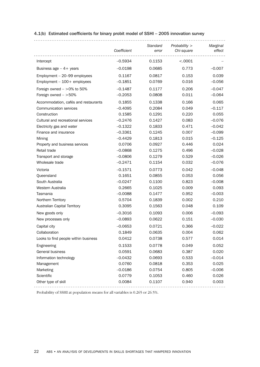|                                      | Coefficient | Standard<br>error | Probability $>$<br>Chi-square | Marginal<br>effect |
|--------------------------------------|-------------|-------------------|-------------------------------|--------------------|
| Intercept                            | $-0.5934$   | 0.1153            | < .0001                       |                    |
|                                      |             |                   | 0.773                         |                    |
| Business age $-4+$ years             | $-0.0198$   | 0.0685            |                               | $-0.007$           |
| Employment - 20-99 employees         | 0.1167      | 0.0817            | 0.153                         | 0.039              |
| Employment $-100+$ employees         | $-0.1851$   | 0.0769            | 0.016                         | $-0.056$           |
| Foreign owned $-$ >0% to 50%         | $-0.1487$   | 0.1177            | 0.206                         | $-0.047$           |
| Foreign owned $-$ >50%               | $-0.2053$   | 0.0808            | 0.011                         | $-0.064$           |
| Accommodation, cafés and restaurants | 0.1855      | 0.1338            | 0.166                         | 0.065              |
| Communication services               | $-0.4095$   | 0.2084            | 0.049                         | $-0.117$           |
| Construction                         | 0.1585      | 0.1291            | 0.220                         | 0.055              |
| Cultural and recreational services   | $-0.2476$   | 0.1427            | 0.083                         | $-0.076$           |
| Electricity gas and water            | $-0.1322$   | 0.1833            | 0.471                         | $-0.042$           |
| Finance and insurance                | $-0.3361$   | 0.1245            | 0.007                         | $-0.099$           |
| Mining                               | $-0.4429$   | 0.1813            | 0.015                         | $-0.125$           |
| Property and business services       | 0.0706      | 0.0927            | 0.446                         | 0.024              |
| Retail trade                         | $-0.0868$   | 0.1275            | 0.496                         | $-0.028$           |
| Transport and storage                | $-0.0806$   | 0.1279            | 0.529                         | $-0.026$           |
| Wholesale trade                      | $-0.2471$   | 0.1154            | 0.032                         | $-0.076$           |
| Victoria                             | $-0.1571$   | 0.0773            | 0.042                         | $-0.048$           |
| Queensland                           | 0.1651      | 0.0855            | 0.053                         | 0.056              |
| South Australia                      | $-0.0247$   | 0.1100            | 0.823                         | $-0.008$           |
| Western Australia                    | 0.2665      | 0.1025            | 0.009                         | 0.093              |
| Tasmania                             | $-0.0088$   | 0.1477            | 0.952                         | $-0.003$           |
| Northern Territory                   | 0.5704      | 0.1839            | 0.002                         | 0.210              |
| <b>Australian Capital Territory</b>  | 0.3095      | 0.1563            | 0.048                         | 0.109              |
| New goods only                       | $-0.3016$   | 0.1093            | 0.006                         | $-0.093$           |
| New processes only                   | $-0.0893$   | 0.0622            | 0.151                         | $-0.030$           |
| Capital city                         | $-0.0653$   | 0.0721            | 0.366                         | $-0.022$           |
| Collaboration                        | 0.1849      | 0.0635            | 0.004                         | 0.062              |
| Looks to find people within business | 0.0412      | 0.0738            | 0.577                         | 0.014              |
| Engineering                          | 0.1533      | 0.0778            | 0.049                         | 0.052              |
| <b>General business</b>              | 0.0591      | 0.0683            | 0.387                         | 0.020              |
| Information technology               | $-0.0432$   | 0.0693            | 0.533                         | $-0.014$           |
| Management                           | 0.0760      | 0.0818            | 0.353                         | 0.025              |
| Marketing                            | $-0.0186$   | 0.0754            | 0.805                         | $-0.006$           |
| Scientific                           | 0.0779      | 0.1053            | 0.460                         | 0.026              |
| Other type of skill                  | 0.0084      | 0.1107            | 0.940                         | 0.003              |
|                                      |             |                   |                               |                    |

## 4.1(b) Estimated coefficients for binary probit model of SSHI – 2005 innovation survey

Probability of SSHI at population means for all variables is 0.265 or 26.5%.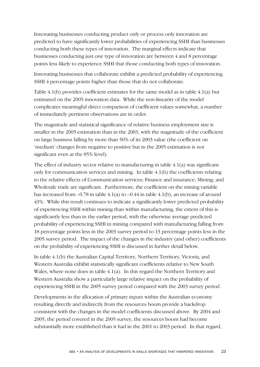Innovating businesses conducting product only or process only innovation are predicted to have significantly lower probabilities of experiencing SSHI than businesses conducting both these types of innovation. The marginal effects indicate that businesses conducting just one type of innovation are between 4 and 8 percentage points less likely to experience SSHI that those conducting both types of innovation.

Innovating businesses that collaborate exhibit a predicted probability of experiencing SSHI 4 percentage points higher than those that do not collaborate.

Table 4.1(b) provides coefficient estimates for the same model as in table 4.1(a) but estimated on the 2005 innovation data. While the non-linearity of the model complicates meaningful direct comparison of coefficient values somewhat, a number of immediately pertinent observations are in order.

The magnitude and statistical significance of relative business employment size is smaller in the 2005 estimation than in the 2003, with the magnitude of the coefficient on large business falling by more than 50% of its 2003 value (the coefficient on 'medium' changes from negative to positive but in the 2005 estimation is not significant even at the 85% level).

The effect of industry sector relative to manufacturing in table 4.1(a) was significant only for communication services and mining. In table 4.1(b) the coefficients relating to the relative effects of Communication services; Finance and insurance; Mining; and Wholesale trade are significant. Furthermore, the coefficient on the mining variable has increased from  $-0.78$  in table 4.1(a) to  $-0.44$  in table 4.1(b), an increase of around 43%. While this result continues to indicate a significantly lower predicted probability of experiencing SSHI within mining than within manufacturing, the extent of this is significantly less than in the earlier period, with the otherwise average predicted probability of experiencing SSHI in mining compared with manufacturing falling from 18 percentage points less in the 2003 survey period to 13 percentage points less in the 2005 survey period. The impact of the changes in the industry (and other) coefficients on the probability of experiencing SSHI is discussed in further detail below.

In table 4.1(b) the Australian Capital Territory, Northern Territory, Victoria, and Western Australia exhibit statistically significant coefficients relative to New South Wales, where none does in table 4.1(a). In this regard the Northern Territory and Western Australia show a particularly large relative impact on the probability of experiencing SSHI in the 2005 survey period compared with the 2003 survey period.

Developments in the allocation of primary inputs within the Australian economy resulting directly and indirectly from the resources boom provide a backdrop consistent with the changes in the model coefficients discussed above. By 2004 and 2005, the period covered in the 2005 survey, the resources boom had become substantially more established than it had in the 2001 to 2003 period. In that regard,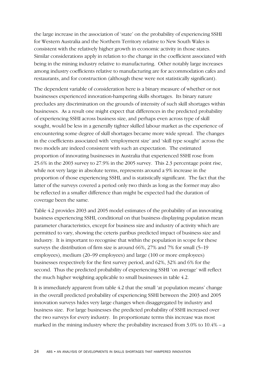the large increase in the association of 'state' on the probability of experiencing SSHI for Western Australia and the Northern Territory relative to New South Wales is consistent with the relatively higher growth in economic activity in those states. Similar considerations apply in relation to the change in the coefficient associated with being in the mining industry relative to manufacturing. Other notably large increases among industry coefficients relative to manufacturing are for accommodation cafes and restaurants, and for construction (although these were not statistically significant).

The dependent variable of consideration here is a binary measure of whether or not businesses experienced innovation-hampering skills shortages. Its binary nature precludes any discrimination on the grounds of intensity of such skill shortages within businesses. As a result one might expect that differences in the predicted probability of experiencing SSHI across business size, and perhaps even across type of skill sought, would be less in a generally tighter skilled labour market as the experience of encountering some degree of skill shortages became more wide spread. The changes in the coefficients associated with 'employment size' and 'skill type sought' across the two models are indeed consistent with such an expectation. The estimated proportion of innovating businesses in Australia that experienced SSHI rose from 25.6% in the 2003 survey to 27.9% in the 2005 survey. This 2.3 percentage point rise, while not very large in absolute terms, represents around a 9% increase in the proportion of those experiencing SSHI, and is statistically significant. The fact that the latter of the surveys covered a period only two thirds as long as the former may also be reflected in a smaller difference than might be expected had the duration of coverage been the same.

Table 4.2 provides 2003 and 2005 model estimates of the probability of an innovating business experiencing SSHI, conditional on that business displaying population mean parameter characteristics, except for business size and industry of activity which are permitted to vary, showing the ceteris paribus predicted impact of business size and industry. It is important to recognise that within the population in scope for these surveys the distribution of firm size is around 66%, 27% and 7% for small (5–19 employees), medium (20–99 employees) and large (100 or more employees) businesses respectively for the first survey period, and 62%, 32% and 6% for the second. Thus the predicted probability of experiencing SSHI 'on average' will reflect the much higher weighting applicable to small businesses in table 4.2.

It is immediately apparent from table 4.2 that the small 'at population means' change in the overall predicted probability of experiencing SSHI between the 2003 and 2005 innovation surveys hides very large changes when disaggregated by industry and business size. For large businesses the predicted probability of SSHI increased over the two surveys for every industry. In proportionate terms this increase was most marked in the mining industry where the probability increased from  $3.0\%$  to  $10.4\%$  – a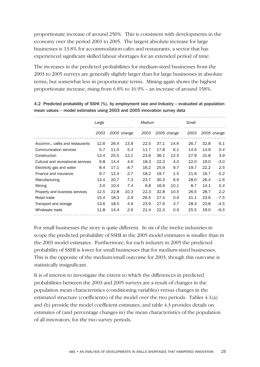proportionate increase of around 250%. This is consistent with developments in the economy over the period 2001 to 2005. The largest absolute increase for large businesses is 13.8% for accommodation cafes and restaurants, a sector that has experienced significant skilled labour shortages for an extended period of time.

The increases in the predicted probabilities for medium-sized businesses from the 2003 to 2005 surveys are generally slightly larger than for large businesses in absolute terms, but somewhat less in proportionate terms. Mining again shows the highest proportionate increase, rising from 6.8% to 16.9% – an increase of around 158%.

|                                    | Large |      |             | <b>Medium</b> |      |             | Small |      |             |
|------------------------------------|-------|------|-------------|---------------|------|-------------|-------|------|-------------|
|                                    | 2003  |      | 2005 change | 2003          |      | 2005 change | 2003  |      | 2005 change |
| Accomm., cafés and restaurants     | 12.6  | 26.4 | 13.8        | 22.5          | 37.1 | 14.6        | 26.7  | 32.8 | 6.1         |
| Communication services             | 5.7   | 11.0 | 5.3         | 11.7          | 17.8 | 6.1         | 14.5  | 14.9 | 0.4         |
| Construction                       | 13.4  | 25.5 | 12.1        | 23.6          | 36.1 | 12.5        | 27.9  | 31.8 | 3.9         |
| Cultural and recreational services | 9.8   | 14.4 | 4.6         | 18.3          | 22.3 | 4.0         | 22.0  | 19.0 | $-3.0$      |
| Electricity gas and water          | 8.4   | 17.1 | 8.7         | 16.2          | 25.9 | 9.7         | 19.7  | 22.2 | 2.5         |
| Finance and insurance              | 9.7   | 12.4 | 2.7         | 18.2          | 19.7 | 1.5         | 21.9  | 16.7 | $-5.2$      |
| Manufacturing                      | 13.4  | 20.7 | 7.3         | 23.7          | 30.3 | 6.6         | 28.0  | 26.4 | $-1.6$      |
| Mining                             | 3.0   | 10.4 | 7.4         | 6.8           | 16.9 | 10.1        | 8.7   | 14.1 | 5.4         |
| Property and business services     | 12.5  | 22.8 | 10.3        | 22.3          | 32.8 | 10.5        | 26.5  | 28.7 | 2.2         |
| Retail trade                       | 15.4  | 18.3 | 2.9         | 26.5          | 27.4 | 0.9         | 31.1  | 23.6 | $-7.5$      |
| Transport and storage              | 13.6  | 18.5 | 4.9         | 23.9          | 27.6 | 3.7         | 28.3  | 23.8 | $-4.5$      |
| Wholesale trade                    | 11.8  | 14.4 | 2.6         | 21.4          | 22.3 | 0.9         | 25.5  | 19.0 | $-6.5$      |

4.2 Predicted probability of SSHI (%), by employment size and Industry – evaluated at population mean values – model estimates using 2003 and 2005 innovation survey data

For small businesses the story is quite different. In six of the twelve industries in scope the predicted probability of SSHI in the 2005 model estimates is smaller than in the 2003 model estimates. Furthermore, for each industry in 2005 the predicted probability of SSHI is lower for small businesses that for medium-sized businesses. This is the opposite of the medium/small outcome for 2003, though this outcome is statistically insignificant.

It is of interest to investigate the extent to which the differences in predicted probabilities between the 2003 and 2005 surveys are a result of changes in the population mean characteristics (conditioning variables) versus changes in the estimated structure (coefficients) of the model over the two periods. Tables 4.1(a) and (b) provide the model coefficient estimates, and table 4.3 provides details on estimates of (and percentage changes in) the mean characteristics of the population of all innovators, for the two survey periods.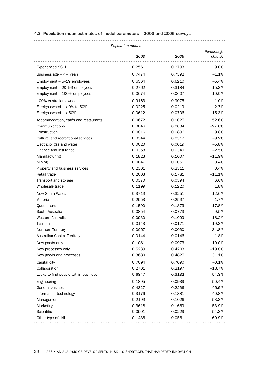#### 4.3 Population mean estimates of model parameters – 2003 and 2005 surveys

| Percentage<br>2003<br>2005<br>change<br>0.2561<br>9.0%<br><b>Experienced SSHI</b><br>0.2793<br>0.7474<br>0.7392<br>$-1.1%$<br>Business age $-4+$ years<br>Employment $-5-19$ employees<br>0.6564<br>0.6210<br>$-5.4%$<br>0.2762<br>0.3184<br>15.3%<br>Employment - 20-99 employees<br>0.0674<br>0.0607<br>$-10.0%$<br>Employment $-100+$ employees<br>100% Australian owned<br>0.9163<br>0.9075<br>$-1.0%$<br>0.0225<br>$-2.7%$<br>Foreign owned $-$ >0% to 50%<br>0.0219<br>Foreign owned $-$ >50%<br>0.0612<br>0.0706<br>15.3%<br>0.0672<br>0.1025<br>52.6%<br>Accommodation, cafés and restaurants<br>0.0046<br>0.0034<br>Communications<br>$-27.6%$<br>Construction<br>0.0816<br>0.0896<br>9.8%<br>Cultural and recreational services<br>0.0344<br>0.0312<br>$-9.2%$<br>0.0020<br>0.0019<br>$-5.8%$<br>Electricity gas and water<br>Finance and insurance<br>0.0358<br>0.0349<br>$-2.5%$<br>0.1823<br>0.1607<br>$-11.9%$<br>Manufacturing<br>0.0047<br>0.0051<br>Mining<br>8.4%<br>0.2301<br>0.2311<br>0.4%<br>Property and business services<br>Retail trade<br>0.2003<br>0.1781<br>$-11.1%$<br>0.0370<br>6.6%<br>0.0394<br>Transport and storage<br>Wholesale trade<br>0.1199<br>0.1220<br>1.8%<br>0.3719<br><b>New South Wales</b><br>0.3251<br>$-12.6%$<br>0.2553<br>1.7%<br>Victoria<br>0.2597<br>0.1590<br>0.1873<br>17.8%<br>Queensland<br>0.0854<br>0.0773<br>South Australia<br>$-9.5%$<br>0.0930<br>Western Australia<br>0.1099<br>18.2%<br>Tasmania<br>0.0143<br>0.0171<br>19.3%<br>0.0067<br>0.0090<br>34.8%<br>Northern Territory<br><b>Australian Capital Territory</b><br>0.0144<br>0.0146<br>1.8%<br>0.1081<br>0.0973<br>$-10.0%$<br>New goods only<br>0.5239<br>0.4203<br>$-19.8%$<br>New processes only<br>New goods and processes<br>0.3680<br>0.4825<br>31.1%<br>0.7094<br>Capital city<br>0.7090<br>$-0.1%$<br>Collaboration<br>$-18.7%$<br>0.2701<br>0.2197<br>0.6847<br>Looks to find people within business<br>0.3132<br>$-54.3%$<br>0.1895<br>0.0939<br>$-50.4%$<br>Engineering<br>General business<br>0.4327<br>0.2296<br>$-46.9%$<br>0.3176<br>0.1881<br>$-40.8%$<br>Information technology<br>0.2199<br>0.1026<br>$-53.3%$<br>Management<br>0.3618<br>0.1669<br>Marketing<br>$-53.9%$<br>Scientific<br>0.0501<br>0.0229<br>$-54.3%$<br>0.1436<br>0.0561<br>$-60.9%$<br>Other type of skill | Population means |  |  |
|----------------------------------------------------------------------------------------------------------------------------------------------------------------------------------------------------------------------------------------------------------------------------------------------------------------------------------------------------------------------------------------------------------------------------------------------------------------------------------------------------------------------------------------------------------------------------------------------------------------------------------------------------------------------------------------------------------------------------------------------------------------------------------------------------------------------------------------------------------------------------------------------------------------------------------------------------------------------------------------------------------------------------------------------------------------------------------------------------------------------------------------------------------------------------------------------------------------------------------------------------------------------------------------------------------------------------------------------------------------------------------------------------------------------------------------------------------------------------------------------------------------------------------------------------------------------------------------------------------------------------------------------------------------------------------------------------------------------------------------------------------------------------------------------------------------------------------------------------------------------------------------------------------------------------------------------------------------------------------------------------------------------------------------------------------------------------------------------------------------------------------------------------------------------------------------------------------------------------------------------------------------------------------------------------------------------------|------------------|--|--|
|                                                                                                                                                                                                                                                                                                                                                                                                                                                                                                                                                                                                                                                                                                                                                                                                                                                                                                                                                                                                                                                                                                                                                                                                                                                                                                                                                                                                                                                                                                                                                                                                                                                                                                                                                                                                                                                                                                                                                                                                                                                                                                                                                                                                                                                                                                                            |                  |  |  |
|                                                                                                                                                                                                                                                                                                                                                                                                                                                                                                                                                                                                                                                                                                                                                                                                                                                                                                                                                                                                                                                                                                                                                                                                                                                                                                                                                                                                                                                                                                                                                                                                                                                                                                                                                                                                                                                                                                                                                                                                                                                                                                                                                                                                                                                                                                                            |                  |  |  |
|                                                                                                                                                                                                                                                                                                                                                                                                                                                                                                                                                                                                                                                                                                                                                                                                                                                                                                                                                                                                                                                                                                                                                                                                                                                                                                                                                                                                                                                                                                                                                                                                                                                                                                                                                                                                                                                                                                                                                                                                                                                                                                                                                                                                                                                                                                                            |                  |  |  |
|                                                                                                                                                                                                                                                                                                                                                                                                                                                                                                                                                                                                                                                                                                                                                                                                                                                                                                                                                                                                                                                                                                                                                                                                                                                                                                                                                                                                                                                                                                                                                                                                                                                                                                                                                                                                                                                                                                                                                                                                                                                                                                                                                                                                                                                                                                                            |                  |  |  |
|                                                                                                                                                                                                                                                                                                                                                                                                                                                                                                                                                                                                                                                                                                                                                                                                                                                                                                                                                                                                                                                                                                                                                                                                                                                                                                                                                                                                                                                                                                                                                                                                                                                                                                                                                                                                                                                                                                                                                                                                                                                                                                                                                                                                                                                                                                                            |                  |  |  |
|                                                                                                                                                                                                                                                                                                                                                                                                                                                                                                                                                                                                                                                                                                                                                                                                                                                                                                                                                                                                                                                                                                                                                                                                                                                                                                                                                                                                                                                                                                                                                                                                                                                                                                                                                                                                                                                                                                                                                                                                                                                                                                                                                                                                                                                                                                                            |                  |  |  |
|                                                                                                                                                                                                                                                                                                                                                                                                                                                                                                                                                                                                                                                                                                                                                                                                                                                                                                                                                                                                                                                                                                                                                                                                                                                                                                                                                                                                                                                                                                                                                                                                                                                                                                                                                                                                                                                                                                                                                                                                                                                                                                                                                                                                                                                                                                                            |                  |  |  |
|                                                                                                                                                                                                                                                                                                                                                                                                                                                                                                                                                                                                                                                                                                                                                                                                                                                                                                                                                                                                                                                                                                                                                                                                                                                                                                                                                                                                                                                                                                                                                                                                                                                                                                                                                                                                                                                                                                                                                                                                                                                                                                                                                                                                                                                                                                                            |                  |  |  |
|                                                                                                                                                                                                                                                                                                                                                                                                                                                                                                                                                                                                                                                                                                                                                                                                                                                                                                                                                                                                                                                                                                                                                                                                                                                                                                                                                                                                                                                                                                                                                                                                                                                                                                                                                                                                                                                                                                                                                                                                                                                                                                                                                                                                                                                                                                                            |                  |  |  |
|                                                                                                                                                                                                                                                                                                                                                                                                                                                                                                                                                                                                                                                                                                                                                                                                                                                                                                                                                                                                                                                                                                                                                                                                                                                                                                                                                                                                                                                                                                                                                                                                                                                                                                                                                                                                                                                                                                                                                                                                                                                                                                                                                                                                                                                                                                                            |                  |  |  |
|                                                                                                                                                                                                                                                                                                                                                                                                                                                                                                                                                                                                                                                                                                                                                                                                                                                                                                                                                                                                                                                                                                                                                                                                                                                                                                                                                                                                                                                                                                                                                                                                                                                                                                                                                                                                                                                                                                                                                                                                                                                                                                                                                                                                                                                                                                                            |                  |  |  |
|                                                                                                                                                                                                                                                                                                                                                                                                                                                                                                                                                                                                                                                                                                                                                                                                                                                                                                                                                                                                                                                                                                                                                                                                                                                                                                                                                                                                                                                                                                                                                                                                                                                                                                                                                                                                                                                                                                                                                                                                                                                                                                                                                                                                                                                                                                                            |                  |  |  |
|                                                                                                                                                                                                                                                                                                                                                                                                                                                                                                                                                                                                                                                                                                                                                                                                                                                                                                                                                                                                                                                                                                                                                                                                                                                                                                                                                                                                                                                                                                                                                                                                                                                                                                                                                                                                                                                                                                                                                                                                                                                                                                                                                                                                                                                                                                                            |                  |  |  |
|                                                                                                                                                                                                                                                                                                                                                                                                                                                                                                                                                                                                                                                                                                                                                                                                                                                                                                                                                                                                                                                                                                                                                                                                                                                                                                                                                                                                                                                                                                                                                                                                                                                                                                                                                                                                                                                                                                                                                                                                                                                                                                                                                                                                                                                                                                                            |                  |  |  |
|                                                                                                                                                                                                                                                                                                                                                                                                                                                                                                                                                                                                                                                                                                                                                                                                                                                                                                                                                                                                                                                                                                                                                                                                                                                                                                                                                                                                                                                                                                                                                                                                                                                                                                                                                                                                                                                                                                                                                                                                                                                                                                                                                                                                                                                                                                                            |                  |  |  |
|                                                                                                                                                                                                                                                                                                                                                                                                                                                                                                                                                                                                                                                                                                                                                                                                                                                                                                                                                                                                                                                                                                                                                                                                                                                                                                                                                                                                                                                                                                                                                                                                                                                                                                                                                                                                                                                                                                                                                                                                                                                                                                                                                                                                                                                                                                                            |                  |  |  |
|                                                                                                                                                                                                                                                                                                                                                                                                                                                                                                                                                                                                                                                                                                                                                                                                                                                                                                                                                                                                                                                                                                                                                                                                                                                                                                                                                                                                                                                                                                                                                                                                                                                                                                                                                                                                                                                                                                                                                                                                                                                                                                                                                                                                                                                                                                                            |                  |  |  |
|                                                                                                                                                                                                                                                                                                                                                                                                                                                                                                                                                                                                                                                                                                                                                                                                                                                                                                                                                                                                                                                                                                                                                                                                                                                                                                                                                                                                                                                                                                                                                                                                                                                                                                                                                                                                                                                                                                                                                                                                                                                                                                                                                                                                                                                                                                                            |                  |  |  |
|                                                                                                                                                                                                                                                                                                                                                                                                                                                                                                                                                                                                                                                                                                                                                                                                                                                                                                                                                                                                                                                                                                                                                                                                                                                                                                                                                                                                                                                                                                                                                                                                                                                                                                                                                                                                                                                                                                                                                                                                                                                                                                                                                                                                                                                                                                                            |                  |  |  |
|                                                                                                                                                                                                                                                                                                                                                                                                                                                                                                                                                                                                                                                                                                                                                                                                                                                                                                                                                                                                                                                                                                                                                                                                                                                                                                                                                                                                                                                                                                                                                                                                                                                                                                                                                                                                                                                                                                                                                                                                                                                                                                                                                                                                                                                                                                                            |                  |  |  |
|                                                                                                                                                                                                                                                                                                                                                                                                                                                                                                                                                                                                                                                                                                                                                                                                                                                                                                                                                                                                                                                                                                                                                                                                                                                                                                                                                                                                                                                                                                                                                                                                                                                                                                                                                                                                                                                                                                                                                                                                                                                                                                                                                                                                                                                                                                                            |                  |  |  |
|                                                                                                                                                                                                                                                                                                                                                                                                                                                                                                                                                                                                                                                                                                                                                                                                                                                                                                                                                                                                                                                                                                                                                                                                                                                                                                                                                                                                                                                                                                                                                                                                                                                                                                                                                                                                                                                                                                                                                                                                                                                                                                                                                                                                                                                                                                                            |                  |  |  |
|                                                                                                                                                                                                                                                                                                                                                                                                                                                                                                                                                                                                                                                                                                                                                                                                                                                                                                                                                                                                                                                                                                                                                                                                                                                                                                                                                                                                                                                                                                                                                                                                                                                                                                                                                                                                                                                                                                                                                                                                                                                                                                                                                                                                                                                                                                                            |                  |  |  |
|                                                                                                                                                                                                                                                                                                                                                                                                                                                                                                                                                                                                                                                                                                                                                                                                                                                                                                                                                                                                                                                                                                                                                                                                                                                                                                                                                                                                                                                                                                                                                                                                                                                                                                                                                                                                                                                                                                                                                                                                                                                                                                                                                                                                                                                                                                                            |                  |  |  |
|                                                                                                                                                                                                                                                                                                                                                                                                                                                                                                                                                                                                                                                                                                                                                                                                                                                                                                                                                                                                                                                                                                                                                                                                                                                                                                                                                                                                                                                                                                                                                                                                                                                                                                                                                                                                                                                                                                                                                                                                                                                                                                                                                                                                                                                                                                                            |                  |  |  |
|                                                                                                                                                                                                                                                                                                                                                                                                                                                                                                                                                                                                                                                                                                                                                                                                                                                                                                                                                                                                                                                                                                                                                                                                                                                                                                                                                                                                                                                                                                                                                                                                                                                                                                                                                                                                                                                                                                                                                                                                                                                                                                                                                                                                                                                                                                                            |                  |  |  |
|                                                                                                                                                                                                                                                                                                                                                                                                                                                                                                                                                                                                                                                                                                                                                                                                                                                                                                                                                                                                                                                                                                                                                                                                                                                                                                                                                                                                                                                                                                                                                                                                                                                                                                                                                                                                                                                                                                                                                                                                                                                                                                                                                                                                                                                                                                                            |                  |  |  |
|                                                                                                                                                                                                                                                                                                                                                                                                                                                                                                                                                                                                                                                                                                                                                                                                                                                                                                                                                                                                                                                                                                                                                                                                                                                                                                                                                                                                                                                                                                                                                                                                                                                                                                                                                                                                                                                                                                                                                                                                                                                                                                                                                                                                                                                                                                                            |                  |  |  |
|                                                                                                                                                                                                                                                                                                                                                                                                                                                                                                                                                                                                                                                                                                                                                                                                                                                                                                                                                                                                                                                                                                                                                                                                                                                                                                                                                                                                                                                                                                                                                                                                                                                                                                                                                                                                                                                                                                                                                                                                                                                                                                                                                                                                                                                                                                                            |                  |  |  |
|                                                                                                                                                                                                                                                                                                                                                                                                                                                                                                                                                                                                                                                                                                                                                                                                                                                                                                                                                                                                                                                                                                                                                                                                                                                                                                                                                                                                                                                                                                                                                                                                                                                                                                                                                                                                                                                                                                                                                                                                                                                                                                                                                                                                                                                                                                                            |                  |  |  |
|                                                                                                                                                                                                                                                                                                                                                                                                                                                                                                                                                                                                                                                                                                                                                                                                                                                                                                                                                                                                                                                                                                                                                                                                                                                                                                                                                                                                                                                                                                                                                                                                                                                                                                                                                                                                                                                                                                                                                                                                                                                                                                                                                                                                                                                                                                                            |                  |  |  |
|                                                                                                                                                                                                                                                                                                                                                                                                                                                                                                                                                                                                                                                                                                                                                                                                                                                                                                                                                                                                                                                                                                                                                                                                                                                                                                                                                                                                                                                                                                                                                                                                                                                                                                                                                                                                                                                                                                                                                                                                                                                                                                                                                                                                                                                                                                                            |                  |  |  |
|                                                                                                                                                                                                                                                                                                                                                                                                                                                                                                                                                                                                                                                                                                                                                                                                                                                                                                                                                                                                                                                                                                                                                                                                                                                                                                                                                                                                                                                                                                                                                                                                                                                                                                                                                                                                                                                                                                                                                                                                                                                                                                                                                                                                                                                                                                                            |                  |  |  |
|                                                                                                                                                                                                                                                                                                                                                                                                                                                                                                                                                                                                                                                                                                                                                                                                                                                                                                                                                                                                                                                                                                                                                                                                                                                                                                                                                                                                                                                                                                                                                                                                                                                                                                                                                                                                                                                                                                                                                                                                                                                                                                                                                                                                                                                                                                                            |                  |  |  |
|                                                                                                                                                                                                                                                                                                                                                                                                                                                                                                                                                                                                                                                                                                                                                                                                                                                                                                                                                                                                                                                                                                                                                                                                                                                                                                                                                                                                                                                                                                                                                                                                                                                                                                                                                                                                                                                                                                                                                                                                                                                                                                                                                                                                                                                                                                                            |                  |  |  |
|                                                                                                                                                                                                                                                                                                                                                                                                                                                                                                                                                                                                                                                                                                                                                                                                                                                                                                                                                                                                                                                                                                                                                                                                                                                                                                                                                                                                                                                                                                                                                                                                                                                                                                                                                                                                                                                                                                                                                                                                                                                                                                                                                                                                                                                                                                                            |                  |  |  |
|                                                                                                                                                                                                                                                                                                                                                                                                                                                                                                                                                                                                                                                                                                                                                                                                                                                                                                                                                                                                                                                                                                                                                                                                                                                                                                                                                                                                                                                                                                                                                                                                                                                                                                                                                                                                                                                                                                                                                                                                                                                                                                                                                                                                                                                                                                                            |                  |  |  |
|                                                                                                                                                                                                                                                                                                                                                                                                                                                                                                                                                                                                                                                                                                                                                                                                                                                                                                                                                                                                                                                                                                                                                                                                                                                                                                                                                                                                                                                                                                                                                                                                                                                                                                                                                                                                                                                                                                                                                                                                                                                                                                                                                                                                                                                                                                                            |                  |  |  |
|                                                                                                                                                                                                                                                                                                                                                                                                                                                                                                                                                                                                                                                                                                                                                                                                                                                                                                                                                                                                                                                                                                                                                                                                                                                                                                                                                                                                                                                                                                                                                                                                                                                                                                                                                                                                                                                                                                                                                                                                                                                                                                                                                                                                                                                                                                                            |                  |  |  |
|                                                                                                                                                                                                                                                                                                                                                                                                                                                                                                                                                                                                                                                                                                                                                                                                                                                                                                                                                                                                                                                                                                                                                                                                                                                                                                                                                                                                                                                                                                                                                                                                                                                                                                                                                                                                                                                                                                                                                                                                                                                                                                                                                                                                                                                                                                                            |                  |  |  |
|                                                                                                                                                                                                                                                                                                                                                                                                                                                                                                                                                                                                                                                                                                                                                                                                                                                                                                                                                                                                                                                                                                                                                                                                                                                                                                                                                                                                                                                                                                                                                                                                                                                                                                                                                                                                                                                                                                                                                                                                                                                                                                                                                                                                                                                                                                                            |                  |  |  |
|                                                                                                                                                                                                                                                                                                                                                                                                                                                                                                                                                                                                                                                                                                                                                                                                                                                                                                                                                                                                                                                                                                                                                                                                                                                                                                                                                                                                                                                                                                                                                                                                                                                                                                                                                                                                                                                                                                                                                                                                                                                                                                                                                                                                                                                                                                                            |                  |  |  |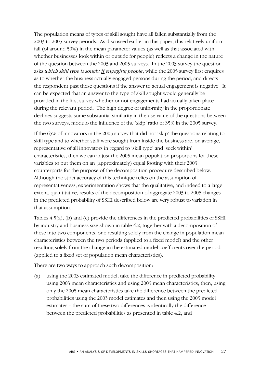The population means of types of skill sought have all fallen substantially from the 2003 to 2005 survey periods. As discussed earlier in this paper, this relatively uniform fall (of around 50%) in the mean parameter values (as well as that associated with whether businesses look within or outside for people) reflects a change in the nature of the question between the 2003 and 2005 surveys. In the 2003 survey the question asks *which skill type is sought if engaging people*, while the 2005 survey first enquires as to whether the business actually engaged persons during the period, and directs the respondent past these questions if the answer to actual engagement is negative. It can be expected that an answer to the type of skill sought would generally be provided in the first survey whether or not engagements had actually taken place during the relevant period. The high degree of uniformity in the proportionate declines suggests some substantial similarity in the use-value of the questions between the two surveys, modulo the influence of the 'skip' ratio of 35% in the 2005 survey.

If the 65% of innovators in the 2005 survey that did not 'skip' the questions relating to skill type and to whether staff were sought from inside the business are, on average, representative of all innovators in regard to 'skill type' and 'seek within' characteristics, then we can adjust the 2005 mean population proportions for these variables to put them on an (approximately) equal footing with their 2003 counterparts for the purpose of the decomposition procedure described below. Although the strict accuracy of this technique relies on the assumption of representativeness, experimentation shows that the qualitative, and indeed to a large extent, quantitative, results of the decomposition of aggregate 2003 to 2005 changes in the predicted probability of SSHI described below are very robust to variation in that assumption.

Tables 4.5(a), (b) and (c) provide the differences in the predicted probabilities of SSHI by industry and business size shown in table 4.2, together with a decomposition of these into two components, one resulting solely from the change in population mean characteristics between the two periods (applied to a fixed model) and the other resulting solely from the change in the estimated model coefficients over the period (applied to a fixed set of population mean characteristics).

There are two ways to approach such decomposition:

(a) using the 2003 estimated model, take the difference in predicted probability using 2003 mean characteristics and using 2005 mean characteristics; then, using only the 2005 mean characteristics take the difference between the predicted probabilities using the 2003 model estimates and then using the 2005 model estimates – the sum of these two differences is identically the difference between the predicted probabilities as presented in table 4.2; and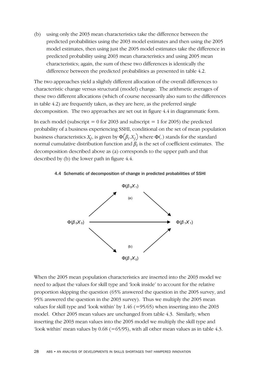(b) using only the 2003 mean characteristics take the difference between the predicted probabilities using the 2003 model estimates and then using the 2005 model estimates, then using just the 2005 model estimates take the difference in predicted probability using 2003 mean characteristics and using 2005 mean characteristics; again, the sum of these two differences is identically the difference between the predicted probabilities as presented in table 4.2.

The two approaches yield a slightly different allocation of the overall differences to characteristic change versus structural (model) change. The arithmetic averages of these two different allocations (which of course necessarily also sum to the differences in table 4.2) are frequently taken, as they are here, as the preferred single decomposition. The two approaches are set out in figure 4.4 in diagrammatic form.

In each model (subscript  $= 0$  for 2003 and subscript  $= 1$  for 2005) the predicted probability of a business experiencing SSHI, conditional on the set of mean population business characteristics  $X_i$ , is given by  $\Phi(\beta_i X_i)$  where  $\Phi(.)$  stands for the standard normal cumulative distribution function and  $\beta_i$  is the set of coefficient estimates. The decomposition described above as (a) corresponds to the upper path and that described by (b) the lower path in figure 4.4.





When the 2005 mean population characteristics are inserted into the 2003 model we need to adjust the values for skill type and 'look inside' to account for the relative proportion skipping the question (65% answered the question in the 2005 survey, and 95% answered the question in the 2003 survey). Thus we multiply the 2005 mean values for skill type and 'look within' by  $1.46$  (=95/65) when inserting into the 2003 model. Other 2005 mean values are unchanged from table 4.3. Similarly, when inserting the 2003 mean values into the 2005 model we multiply the skill type and 'look within' mean values by  $0.68$  (=65/95), with all other mean values as in table 4.3.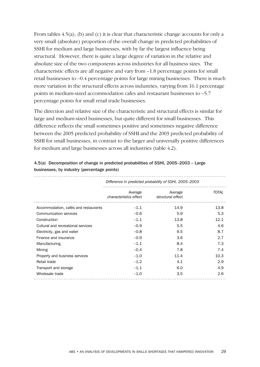From tables 4.5(a), (b) and (c) it is clear that characteristic change accounts for only a very small (absolute) proportion of the overall change in predicted probabilities of SSHI for medium and large businesses, with by far the largest influence being structural. However, there is quite a large degree of variation in the relative and absolute size of the two components across industries for all business sizes. The characteristic effects are all negative and vary from –1.8 percentage points for small retail businesses to –0.4 percentage points for large mining businesses. There is much more variation in the structural effects across industries, varying from 16.1 percentage points in medium-sized accommodation cafes and restaurant businesses to –5.7 percentage points for small retail trade businesses.

The direction and relative size of the characteristic and structural effects is similar for large and medium-sized businesses, but quite different for small businesses. This difference reflects the small sometimes positive and sometimes negative difference between the 2005 predicted probability of SSHI and the 2003 predicted probability of SSHI for small businesses, in contrast to the larger and universally positive differences for medium and large businesses across all industries (table 4.2).

|                                      | Difference in predicted probability of SSHI, 2005–2003 |                              |              |  |
|--------------------------------------|--------------------------------------------------------|------------------------------|--------------|--|
|                                      | Average<br>characteristics effect                      | Average<br>structural effect | <b>TOTAL</b> |  |
| Accommodation, cafés and restaurants | $-1.1$                                                 | 14.9                         | 13.8         |  |
| Communication services               | $-0.6$                                                 | 5.9                          | 5.3          |  |
| Construction                         | $-1.1$                                                 | 13.8                         | 12.1         |  |
| Cultural and recreational services   | $-0.9$                                                 | 5.5                          | 4.6          |  |
| Electricity, gas and water           | $-0.8$                                                 | 9.5                          | 8.7          |  |
| Finance and insurance                | $-0.9$                                                 | 3.6                          | 2.7          |  |
| Manufacturing                        | $-1.1$                                                 | 8.4                          | 7.3          |  |
| Mining                               | $-0.4$                                                 | 7.8                          | 7.4          |  |
| Property and business services       | $-1.0$                                                 | 11.4                         | 10.3         |  |
| Retail trade                         | $-1.2$                                                 | 4.1                          | 2.9          |  |
| Transport and storage                | $-1.1$                                                 | 6.0                          | 4.9          |  |
| Wholesale trade                      | $-1.0$                                                 | 3.5                          | 2.6          |  |

4.5(a) Decomposition of change in predicted probabilities of SSHI, 2005–2003 – Large businesses, by industry (percentage points)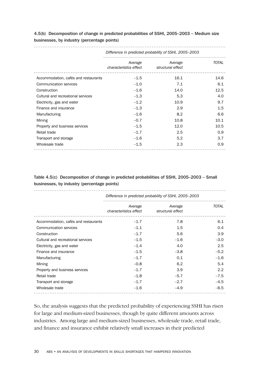4.5(b) Decomposition of change in predicted probabilities of SSHI, 2005–2003 – Medium size businesses, by industry (percentage points)

|                                      | Difference in predicted probability of SSHI, 2005–2003 |                              |              |  |
|--------------------------------------|--------------------------------------------------------|------------------------------|--------------|--|
|                                      | Average<br>characteristics effect                      | Average<br>structural effect | <b>TOTAL</b> |  |
| Accommodation, cafés and restaurants | $-1.5$                                                 | 16.1                         | 14.6         |  |
| Communication services               | $-1.0$                                                 | 7.1                          | 6.1          |  |
| Construction                         | $-1.6$                                                 | 14.0                         | 12.5         |  |
| Cultural and recreational services   | $-1.3$                                                 | 5.3                          | 4.0          |  |
| Electricity, gas and water           | $-1.2$                                                 | 10.9                         | 9.7          |  |
| Finance and insurance                | $-1.3$                                                 | 2.9                          | 1.5          |  |
| Manufacturing                        | $-1.6$                                                 | 8.2                          | 6.6          |  |
| Mining                               | $-0.7$                                                 | 10.8                         | 10.1         |  |
| Property and business services       | $-1.5$                                                 | 12.0                         | 10.5         |  |
| Retail trade                         | $-1.7$                                                 | 2.5                          | 0.9          |  |
| Transport and storage                | $-1.6$                                                 | 5.2                          | 3.7          |  |
| Wholesale trade                      | $-1.5$                                                 | 2.3                          | 0.9          |  |

Table 4.5(c) Decomposition of change in predicted probabilities of SSHI, 2005–2003 – Small businesses, by industry (percentage points)

|                                      | Difference in predicted probability of SSHI, 2005-2003 |                              |               |  |
|--------------------------------------|--------------------------------------------------------|------------------------------|---------------|--|
|                                      | Average<br>characteristics effect                      | Average<br>structural effect | <b>TOTAL</b>  |  |
| Accommodation, cafés and restaurants | $-1.7$                                                 | 7.8                          | 6.1           |  |
| Communication services               | $-1.1$                                                 | 1.5                          | 0.4           |  |
| Construction                         | $-1.7$                                                 | 5.6                          | 3.9           |  |
| Cultural and recreational services   | $-1.5$                                                 | $-1.6$                       | $-3.0$        |  |
| Electricity, gas and water           | $-1.4$                                                 | 4.0                          | 2.5           |  |
| Finance and insurance                | $-1.5$                                                 | $-3.8$                       | $-5.2$        |  |
| Manufacturing                        | $-1.7$                                                 | 0.1                          | $-1.6$        |  |
| Mining                               | $-0.8$                                                 | 6.2                          | 5.4           |  |
| Property and business services       | $-1.7$                                                 | 3.9                          | $2.2^{\circ}$ |  |
| Retail trade                         | $-1.8$                                                 | $-5.7$                       | $-7.5$        |  |
| Transport and storage                | $-1.7$                                                 | $-2.7$                       | $-4.5$        |  |
| Wholesale trade                      | $-1.6$                                                 | $-4.9$                       | $-6.5$        |  |

So, the analysis suggests that the predicted probability of experiencing SSHI has risen for large and medium-sized businesses, though by quite different amounts across industries. Among large and medium-sized businesses, wholesale trade, retail trade, and finance and insurance exhibit relatively small increases in their predicted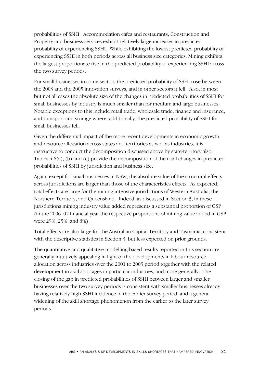probabilities of SSHI. Accommodation cafes and restaurants, Construction and Property and business services exhibit relatively large increases in predicted probability of experiencing SSHI. While exhibiting the lowest predicted probability of experiencing SSHI in both periods across all business size categories, Mining exhibits the largest proportionate rise in the predicted probability of experiencing SSHI across the two survey periods.

For small businesses in some sectors the predicted probability of SSHI rose between the 2003 and the 2005 innovation surveys, and in other sectors it fell. Also, in most but not all cases the absolute size of the changes in predicted probabilities of SSHI for small businesses by industry is much smaller than for medium and large businesses. Notable exceptions to this include retail trade, wholesale trade, finance and insurance, and transport and storage where, additionally, the predicted probability of SSHI for small businesses fell.

Given the differential impact of the more recent developments in economic growth and resource allocation across states and territories as well as industries, it is instructive to conduct the decomposition discussed above by state/territory also. Tables 4.6(a), (b) and (c) provide the decomposition of the total changes in predicted probabilities of SSHI by jurisdiction and business size.

Again, except for small businesses in NSW, the absolute value of the structural effects across jurisdictions are larger than those of the characteristics effects. As expected, total effects are large for the mining intensive jurisdictions of Western Australia, the Northern Territory, and Queensland. Indeed, as discussed in Section 3, in these jurisdictions mining industry value added represents a substantial proportion of GSP (in the 2006–07 financial year the respective proportions of mining value added in GSP were 29%, 25%, and 8%)

Total effects are also large for the Australian Capital Territory and Tasmania, consistent with the descriptive statistics in Section 3, but less expected on prior grounds.

The quantitative and qualitative modelling-based results reported in this section are generally intuitively appealing in light of the developments in labour resource allocation across industries over the 2001 to 2005 period together with the related development in skill shortages in particular industries, and more generally. The closing of the gap in predicted probabilities of SSHI between larger and smaller businesses over the two survey periods is consistent with smaller businesses already having relatively high SSHI incidence in the earlier survey period, and a general widening of the skill shortage phenomenon from the earlier to the later survey periods.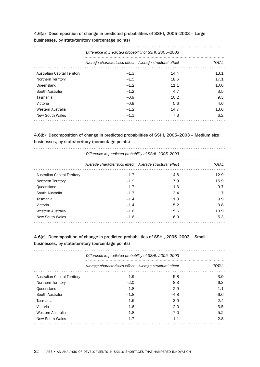## 4.6(a) Decomposition of change in predicted probabilities of SSHI, 2005–2003 – Large businesses, by state/territory (percentage points)

| Difference in predicted probability of SSHI, 2005–2003 |                                                          |      |              |  |  |
|--------------------------------------------------------|----------------------------------------------------------|------|--------------|--|--|
|                                                        | Average characteristics effect Average structural effect |      | <b>TOTAL</b> |  |  |
| Australian Capital Territory                           | $-1.3$                                                   | 14.4 | 13.1         |  |  |
| Northern Territory                                     | $-1.5$                                                   | 18.6 | 17.1         |  |  |
| Queensland                                             | $-1.2$                                                   | 11.1 | 10.0         |  |  |
| South Australia                                        | $-1.2$                                                   | 4.7  | 3.5          |  |  |
| Tasmania                                               | $-0.9$                                                   | 10.2 | 9.3          |  |  |
| Victoria                                               | $-0.9$                                                   | 5.6  | 4.6          |  |  |
| Western Australia                                      | $-1.2$                                                   | 14.7 | 13.6         |  |  |
| New South Wales                                        | $-1.1$                                                   | 7.3  | 6.2          |  |  |

## 4.6(b) Decomposition of change in predicted probabilities of SSHI, 2005–2003 – Medium size businesses, by state/territory (percentage points)

|                              | Difference in predicted probability of SSHI, 2005-2003   |      |              |  |
|------------------------------|----------------------------------------------------------|------|--------------|--|
|                              | Average characteristics effect Average structural effect |      | <b>TOTAL</b> |  |
| Australian Capital Territory | $-1.7$                                                   | 14.6 | 12.9         |  |
| Northern Territory           | $-1.9$                                                   | 17.9 | 15.9         |  |
| Queensland                   | $-1.7$                                                   | 11.3 | 9.7          |  |
| South Australia              | $-1.7$                                                   | 3.4  | 1.7          |  |
| Tasmania                     | $-1.4$                                                   | 11.3 | 9.9          |  |
| Victoria                     | $-1.4$                                                   | 5.2  | 3.8          |  |
| Western Australia            | $-1.6$                                                   | 15.6 | 13.9         |  |
| New South Wales              | $-1.6$                                                   | 6.9  | 5.3          |  |
|                              |                                                          |      |              |  |

## 4.6(c) Decomposition of change in predicted probabilities of SSHI, 2005–2003 – Small businesses, by state/territory (percentage points)

| Difference in predicted probability of SSHI, 2005–2003 |                                                          |        |              |  |
|--------------------------------------------------------|----------------------------------------------------------|--------|--------------|--|
|                                                        | Average characteristics effect Average structural effect |        | <b>TOTAL</b> |  |
| Australian Capital Territory                           | $-1.9$                                                   | 5.8    | 3.9          |  |
| Northern Territory                                     | $-2.0$                                                   | 8.3    | 6.3          |  |
| Queensland                                             | $-1.8$                                                   | 2.9    | 1.1          |  |
| South Australia                                        | $-1.8$                                                   | $-4.8$ | $-6.6$       |  |
| Tasmania                                               | $-1.5$                                                   | 3.9    | 2.4          |  |
| Victoria                                               | $-1.6$                                                   | $-2.0$ | $-3.5$       |  |
| Western Australia                                      | $-1.8$                                                   | 7.0    | 5.2          |  |
| New South Wales                                        | $-1.7$                                                   | $-1.1$ | $-2.8$       |  |
|                                                        |                                                          |        |              |  |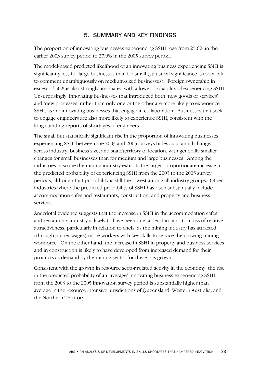# 5. SUMMARY AND KEY FINDINGS

The proportion of innovating businesses experiencing SSHI rose from 25.6% in the earlier 2003 survey period to 27.9% in the 2005 survey period.

The model-based predicted likelihood of an innovating business experiencing SSHI is significantly less for large businesses than for small (statistical significance is too weak to comment unambiguously on medium-sized businesses). Foreign ownership in excess of 50% is also strongly associated with a lower probability of experiencing SSHI. Unsurprisingly, innovating businesses that introduced both 'new goods or services' and 'new processes' rather than only one or the other are more likely to experience SSHI, as are innovating businesses that engage in collaboration. Businesses that seek to engage engineers are also more likely to experience SSHI, consistent with the long-standing reports of shortages of engineers.

The small but statistically significant rise in the proportion of innovating businesses experiencing SSHI between the 2003 and 2005 surveys hides substantial changes across industry, business size, and state/territory of location, with generally smaller changes for small businesses than for medium and large businesses. Among the industries in scope the mining industry exhibits the largest proportionate increase in the predicted probability of experiencing SSHI from the 2003 to the 2005 survey periods, although that probability is still the lowest among all industry groups. Other industries where the predicted probability of SSHI has risen substantially include accommodation cafes and restaurants, construction, and property and business services.

Anecdotal evidence suggests that the increase in SSHI in the accommodation cafes and restaurants industry is likely to have been due, at least in part, to a loss of relative attractiveness, particularly in relation to chefs, as the mining industry has attracted (through higher wages) more workers with key skills to service the growing mining workforce. On the other hand, the increase in SSHI in property and business services, and in construction is likely to have developed from increased demand for their products as demand by the mining sector for these has grown.

Consistent with the growth in resource sector related activity in the economy, the rise in the predicted probability of an 'average' innovating business experiencing SSHI from the 2003 to the 2005 innovation survey period is substantially higher than average in the resource intensive jurisdictions of Queensland, Western Australia, and the Northern Territory.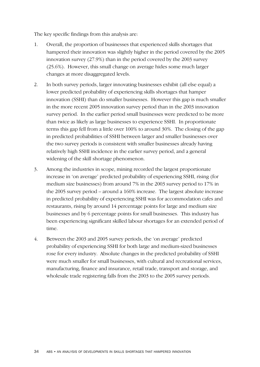The key specific findings from this analysis are:

- 1. Overall, the proportion of businesses that experienced skills shortages that hampered their innovation was slightly higher in the period covered by the 2005 innovation survey (27.9%) than in the period covered by the 2003 survey (25.6%). However, this small change on average hides some much larger changes at more disaggregated levels.
- 2. In both survey periods, larger innovating businesses exhibit (all else equal) a lower predicted probability of experiencing skills shortages that hamper innovation (SSHI) than do smaller businesses. However this gap is much smaller in the more recent 2005 innovation survey period than in the 2003 innovation survey period. In the earlier period small businesses were predicted to be more than twice as likely as large businesses to experience SSHI. In proportionate terms this gap fell from a little over 100% to around 30%. The closing of the gap in predicted probabilities of SSHI between larger and smaller businesses over the two survey periods is consistent with smaller businesses already having relatively high SSHI incidence in the earlier survey period, and a general widening of the skill shortage phenomenon.
- 3. Among the industries in scope, mining recorded the largest proportionate increase in 'on average' predicted probability of experiencing SSHI, rising (for medium size businesses) from around 7% in the 2003 survey period to 17% in the 2005 survey period – around a 160% increase. The largest absolute increase in predicted probability of experiencing SSHI was for accommodation cafes and restaurants, rising by around 14 percentage points for large and medium size businesses and by 6 percentage points for small businesses. This industry has been experiencing significant skilled labour shortages for an extended period of time.
- 4. Between the 2003 and 2005 survey periods, the 'on average' predicted probability of experiencing SSHI for both large and medium-sized businesses rose for every industry. Absolute changes in the predicted probability of SSHI were much smaller for small businesses, with cultural and recreational services, manufacturing, finance and insurance, retail trade, transport and storage, and wholesale trade registering falls from the 2003 to the 2005 survey periods.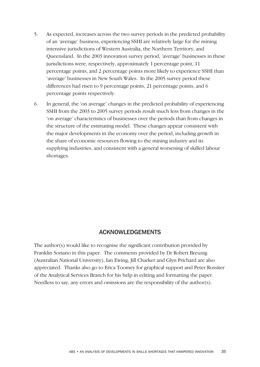- 5. As expected, increases across the two survey periods in the predicted probability of an 'average' business, experiencing SSHI are relatively large for the mining intensive jurisdictions of Western Australia, the Northern Territory, and Queensland. In the 2003 innovation survey period, 'average' businesses in these jurisdictions were, respectively, approximately 1 percentage point, 11 percentage points, and 2 percentage points more likely to experience SSHI than 'average' businesses in New South Wales. In the 2005 survey period these differences had risen to 9 percentage points, 21 percentage points, and 6 percentage points respectively.
- 6. In general, the 'on average' changes in the predicted probability of experiencing SSHI from the 2003 to 2005 survey periods result much less from changes in the 'on average' characteristics of businesses over the periods than from changes in the structure of the estimating model. These changes appear consistent with the major developments in the economy over the period, including growth in the share of economic resources flowing to the mining industry and its supplying industries, and consistent with a general worsening of skilled labour shortages.

## ACKNOWLEDGEMENTS

The author(s) would like to recognise the significant contribution provided by Franklin Soriano in this paper. The comments provided by Dr Robert Breunig (Australian National University), Ian Ewing, Jill Charker and Glyn Prichard are also appreciated. Thanks also go to Erica Toomey for graphical support and Peter Rossiter of the Analytical Services Branch for his help in editing and formatting the paper. Needless to say, any errors and omissions are the responsibility of the author(s).